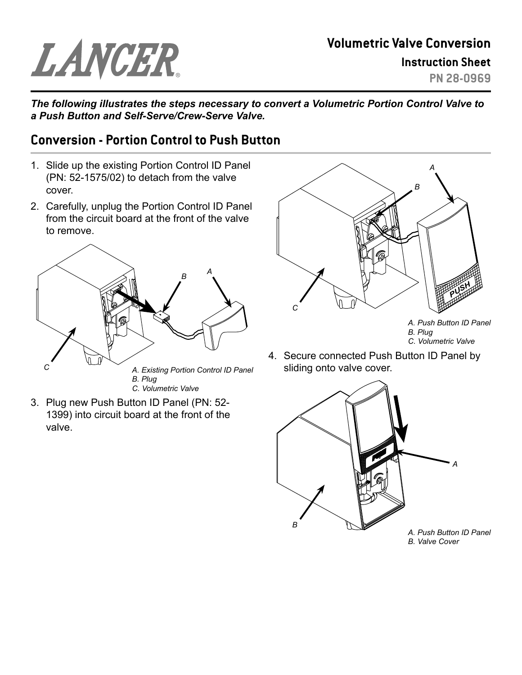## LANCER

## **Volumetric Valve Conversion Instruction Sheet**

**PN 28-0969**

*The following illustrates the steps necessary to convert a Volumetric Portion Control Valve to a Push Button and Self-Serve/Crew-Serve Valve.*

## **Conversion - Portion Control to Push Button**

- 1. Slide up the existing Portion Control ID Panel (PN: 52-1575/02) to detach from the valve cover.
- 2. Carefully, unplug the Portion Control ID Panel from the circuit board at the front of the valve to remove.



*C. Volumetric Valve*

3. Plug new Push Button ID Panel (PN: 52- 1399) into circuit board at the front of the valve.



*A. Push Button ID Panel B. Plug C. Volumetric Valve*

4. Secure connected Push Button ID Panel by sliding onto valve cover.